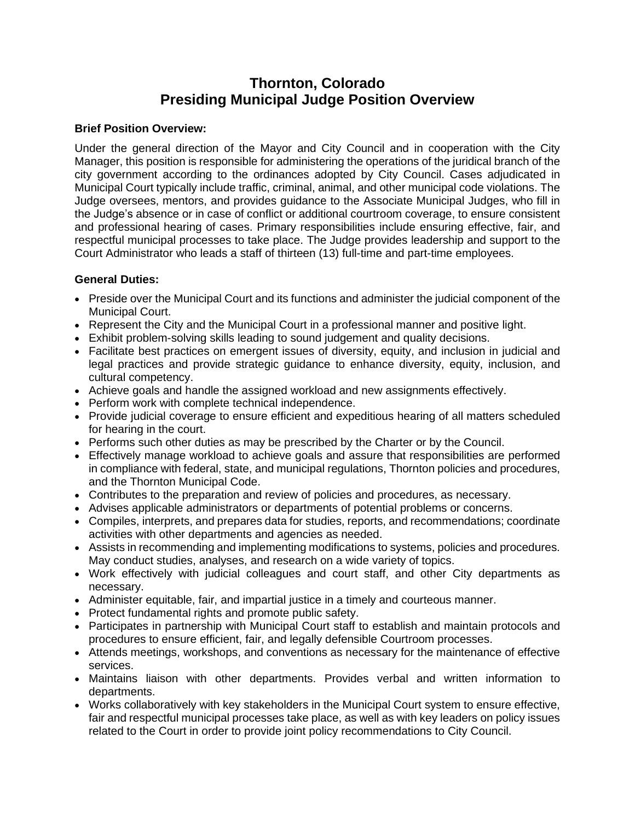# **Thornton, Colorado Presiding Municipal Judge Position Overview**

### **Brief Position Overview:**

Under the general direction of the Mayor and City Council and in cooperation with the City Manager, this position is responsible for administering the operations of the juridical branch of the city government according to the ordinances adopted by City Council. Cases adjudicated in Municipal Court typically include traffic, criminal, animal, and other municipal code violations. The Judge oversees, mentors, and provides guidance to the Associate Municipal Judges, who fill in the Judge's absence or in case of conflict or additional courtroom coverage, to ensure consistent and professional hearing of cases. Primary responsibilities include ensuring effective, fair, and respectful municipal processes to take place. The Judge provides leadership and support to the Court Administrator who leads a staff of thirteen (13) full-time and part-time employees.

### **General Duties:**

- Preside over the Municipal Court and its functions and administer the judicial component of the Municipal Court.
- Represent the City and the Municipal Court in a professional manner and positive light.
- Exhibit problem-solving skills leading to sound judgement and quality decisions.
- Facilitate best practices on emergent issues of diversity, equity, and inclusion in judicial and legal practices and provide strategic guidance to enhance diversity, equity, inclusion, and cultural competency.
- Achieve goals and handle the assigned workload and new assignments effectively.
- Perform work with complete technical independence.
- Provide judicial coverage to ensure efficient and expeditious hearing of all matters scheduled for hearing in the court.
- Performs such other duties as may be prescribed by the Charter or by the Council.
- Effectively manage workload to achieve goals and assure that responsibilities are performed in compliance with federal, state, and municipal regulations, Thornton policies and procedures, and the Thornton Municipal Code.
- Contributes to the preparation and review of policies and procedures, as necessary.
- Advises applicable administrators or departments of potential problems or concerns.
- Compiles, interprets, and prepares data for studies, reports, and recommendations; coordinate activities with other departments and agencies as needed.
- Assists in recommending and implementing modifications to systems, policies and procedures. May conduct studies, analyses, and research on a wide variety of topics.
- Work effectively with judicial colleagues and court staff, and other City departments as necessary.
- Administer equitable, fair, and impartial justice in a timely and courteous manner.
- Protect fundamental rights and promote public safety.
- Participates in partnership with Municipal Court staff to establish and maintain protocols and procedures to ensure efficient, fair, and legally defensible Courtroom processes.
- Attends meetings, workshops, and conventions as necessary for the maintenance of effective services.
- Maintains liaison with other departments. Provides verbal and written information to departments.
- Works collaboratively with key stakeholders in the Municipal Court system to ensure effective, fair and respectful municipal processes take place, as well as with key leaders on policy issues related to the Court in order to provide joint policy recommendations to City Council.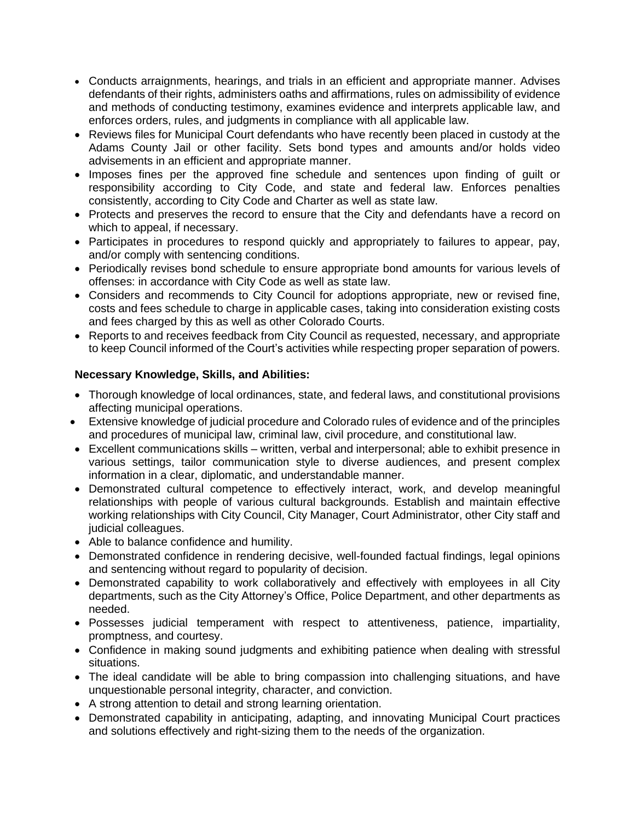- Conducts arraignments, hearings, and trials in an efficient and appropriate manner. Advises defendants of their rights, administers oaths and affirmations, rules on admissibility of evidence and methods of conducting testimony, examines evidence and interprets applicable law, and enforces orders, rules, and judgments in compliance with all applicable law.
- Reviews files for Municipal Court defendants who have recently been placed in custody at the Adams County Jail or other facility. Sets bond types and amounts and/or holds video advisements in an efficient and appropriate manner.
- Imposes fines per the approved fine schedule and sentences upon finding of guilt or responsibility according to City Code, and state and federal law. Enforces penalties consistently, according to City Code and Charter as well as state law.
- Protects and preserves the record to ensure that the City and defendants have a record on which to appeal, if necessary.
- Participates in procedures to respond quickly and appropriately to failures to appear, pay, and/or comply with sentencing conditions.
- Periodically revises bond schedule to ensure appropriate bond amounts for various levels of offenses: in accordance with City Code as well as state law.
- Considers and recommends to City Council for adoptions appropriate, new or revised fine, costs and fees schedule to charge in applicable cases, taking into consideration existing costs and fees charged by this as well as other Colorado Courts.
- Reports to and receives feedback from City Council as requested, necessary, and appropriate to keep Council informed of the Court's activities while respecting proper separation of powers.

## **Necessary Knowledge, Skills, and Abilities:**

- Thorough knowledge of local ordinances, state, and federal laws, and constitutional provisions affecting municipal operations.
- Extensive knowledge of judicial procedure and Colorado rules of evidence and of the principles and procedures of municipal law, criminal law, civil procedure, and constitutional law.
- Excellent communications skills written, verbal and interpersonal; able to exhibit presence in various settings, tailor communication style to diverse audiences, and present complex information in a clear, diplomatic, and understandable manner.
- Demonstrated cultural competence to effectively interact, work, and develop meaningful relationships with people of various cultural backgrounds. Establish and maintain effective working relationships with City Council, City Manager, Court Administrator, other City staff and judicial colleagues.
- Able to balance confidence and humility.
- Demonstrated confidence in rendering decisive, well-founded factual findings, legal opinions and sentencing without regard to popularity of decision.
- Demonstrated capability to work collaboratively and effectively with employees in all City departments, such as the City Attorney's Office, Police Department, and other departments as needed.
- Possesses judicial temperament with respect to attentiveness, patience, impartiality, promptness, and courtesy.
- Confidence in making sound judgments and exhibiting patience when dealing with stressful situations.
- The ideal candidate will be able to bring compassion into challenging situations, and have unquestionable personal integrity, character, and conviction.
- A strong attention to detail and strong learning orientation.
- Demonstrated capability in anticipating, adapting, and innovating Municipal Court practices and solutions effectively and right-sizing them to the needs of the organization.